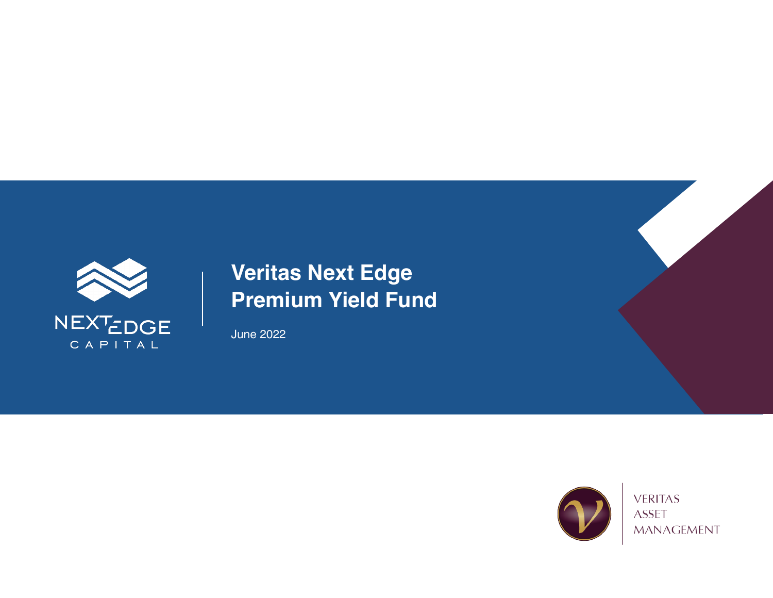

June 2022

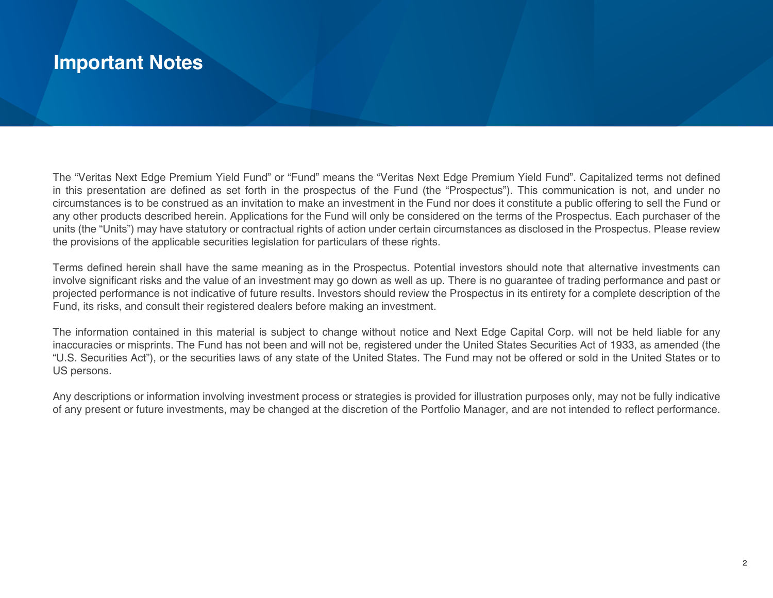## **Important Notes**

The "Veritas Next Edge Premium Yield Fund" or "Fund" means the "Veritas Next Edge Premium Yield Fund". Capitalized terms not defined in this presentation are defined as set forth in the prospectus of the Fund (the "Prospectus"). This communication is not, and under no circumstances is to be construed as an invitation to make an investment in the Fund nor does it constitute a public offering to sell the Fund or any other products described herein. Applications for the Fund will only be considered on the terms of the Prospectus. Each purchaser of the units (the "Units") may have statutory or contractual rights of action under certain circumstances as disclosed in the Prospectus. Please review the provisions of the applicable securities legislation for particulars of these rights.

Terms defined herein shall have the same meaning as in the Prospectus. Potential investors should note that alternative investments can involve significant risks and the value of an investment may go down as well as up. There is no guarantee of trading performance and past or projected performance is not indicative of future results. Investors should review the Prospectus in its entirety for a complete description of the Fund, its risks, and consult their registered dealers before making an investment.

The information contained in this material is subject to change without notice and Next Edge Capital Corp. will not be held liable for any inaccuracies or misprints. The Fund has not been and will not be, registered under the United States Securities Act of 1933, as amended (the "U.S. Securities Act"), or the securities laws of any state of the United States. The Fund may not be offered or sold in the United States or to US persons.

Any descriptions or information involving investment process or strategies is provided for illustration purposes only, may not be fully indicative of any present or future investments, may be changed at the discretion of the Portfolio Manager, and are not intended to reflect performance.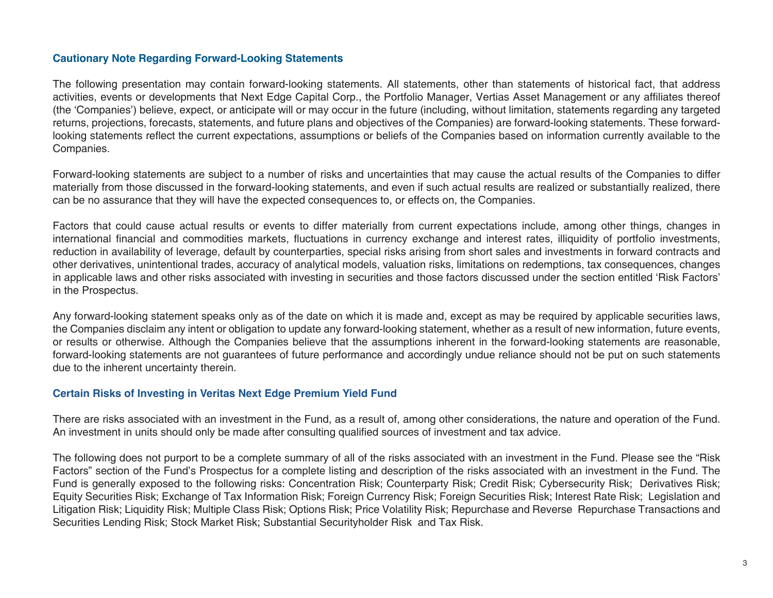#### **Cautionary Note Regarding Forward-Looking Statements**

The following presentation may contain forward-looking statements. All statements, other than statements of historical fact, that address activities, events or developments that Next Edge Capital Corp., the Portfolio Manager, Vertias Asset Management or any affiliates thereof (the 'Companies') believe, expect, or anticipate will or may occur in the future (including, without limitation, statements regarding any targeted returns, projections, forecasts, statements, and future plans and objectives of the Companies) are forward-looking statements. These forwardlooking statements reflect the current expectations, assumptions or beliefs of the Companies based on information currently available to the Companies.

Forward-looking statements are subject to a number of risks and uncertainties that may cause the actual results of the Companies to differ materially from those discussed in the forward-looking statements, and even if such actual results are realized or substantially realized, there can be no assurance that they will have the expected consequences to, or effects on, the Companies.

Factors that could cause actual results or events to differ materially from current expectations include, among other things, changes in international financial and commodities markets, fluctuations in currency exchange and interest rates, illiquidity of portfolio investments, reduction in availability of leverage, default by counterparties, special risks arising from short sales and investments in forward contracts and other derivatives, unintentional trades, accuracy of analytical models, valuation risks, limitations on redemptions, tax consequences, changes in applicable laws and other risks associated with investing in securities and those factors discussed under the section entitled 'Risk Factors' in the Prospectus.

Any forward-looking statement speaks only as of the date on which it is made and, except as may be required by applicable securities laws, the Companies disclaim any intent or obligation to update any forward-looking statement, whether as a result of new information, future events, or results or otherwise. Although the Companies believe that the assumptions inherent in the forward-looking statements are reasonable, forward-looking statements are not guarantees of future performance and accordingly undue reliance should not be put on such statements due to the inherent uncertainty therein.

#### **Certain Risks of Investing in Veritas Next Edge Premium Yield Fund**

There are risks associated with an investment in the Fund, as a result of, among other considerations, the nature and operation of the Fund. An investment in units should only be made after consulting qualified sources of investment and tax advice.

The following does not purport to be a complete summary of all of the risks associated with an investment in the Fund. Please see the "Risk Factors" section of the Fund's Prospectus for a complete listing and description of the risks associated with an investment in the Fund. The Fund is generally exposed to the following risks: Concentration Risk; Counterparty Risk; Credit Risk; Cybersecurity Risk; Derivatives Risk; Equity Securities Risk; Exchange of Tax Information Risk; Foreign Currency Risk; Foreign Securities Risk; Interest Rate Risk; Legislation and Litigation Risk; Liquidity Risk; Multiple Class Risk; Options Risk; Price Volatility Risk; Repurchase and Reverse Repurchase Transactions and Securities Lending Risk; Stock Market Risk; Substantial Securityholder Risk and Tax Risk.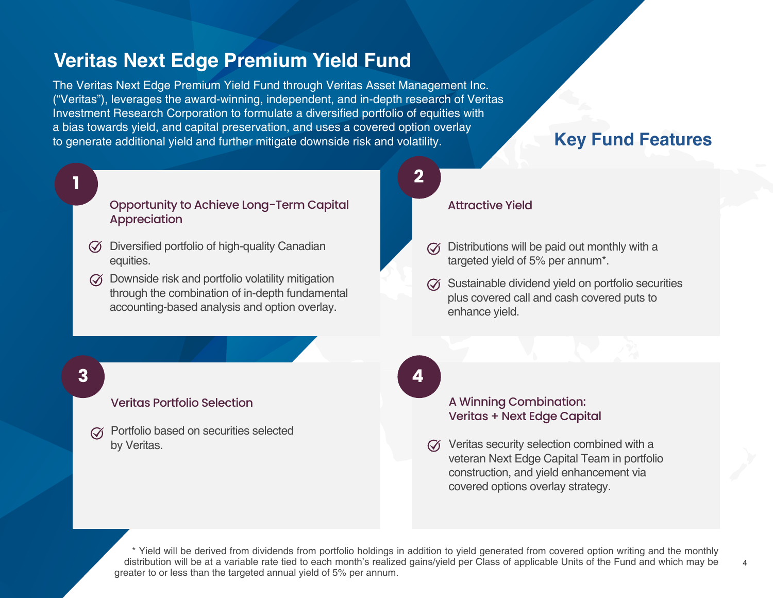The Veritas Next Edge Premium Yield Fund through Veritas Asset Management Inc. ("Veritas"), leverages the award-winning, independent, and in-depth research of Veritas Investment Research Corporation to formulate a diversified portfolio of equities with a bias towards yield, and capital preservation, and uses a covered option overlay to generate additional yield and further mitigate downside risk and volatility. **Key Fund Features**

# **1 2**

#### Opportunity to Achieve Long-Term Capital **Appreciation**

- $\oslash$  Diversified portfolio of high-quality Canadian equities.
- $\widetilde{\mathcal{A}}$  Downside risk and portfolio volatility mitigation through the combination of in-depth fundamental accounting-based analysis and option overlay.

#### Attractive Yield

- $\oslash$  Distributions will be paid out monthly with a targeted yield of 5% per annum\*.
- $\oslash$  Sustainable dividend yield on portfolio securities plus covered call and cash covered puts to enhance yield.

#### A Winning Combination: Veritas + Next Edge Capital

 $\oslash$  Veritas security selection combined with a veteran Next Edge Capital Team in portfolio construction, and yield enhancement via covered options overlay strategy.

4

\* Yield will be derived from dividends from portfolio holdings in addition to yield generated from covered option writing and the monthly distribution will be at a variable rate tied to each month's realized gains/yield per Class of applicable Units of the Fund and which may be greater to or less than the targeted annual yield of 5% per annum.

## **3 4**

### Veritas Portfolio Selection

Portfolio based on securities selected by Veritas.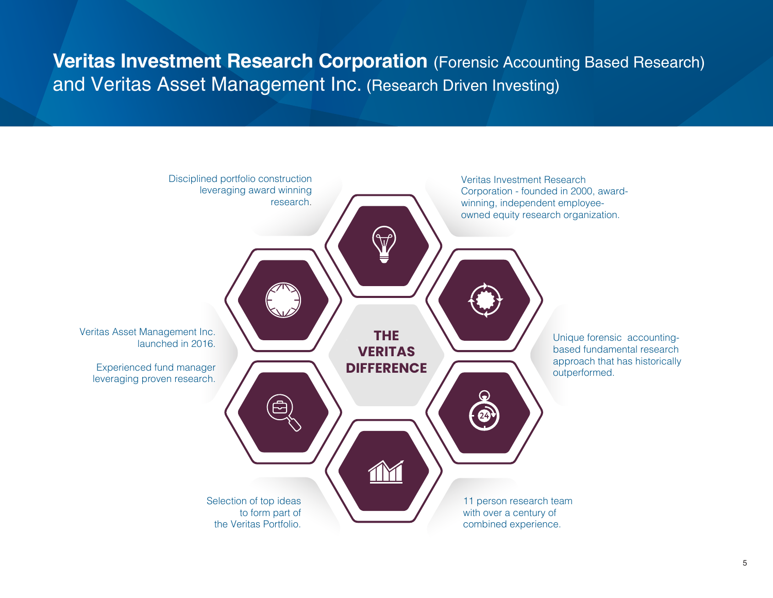# **Veritas Investment Research Corporation** (Forensic Accounting Based Research) and Veritas Asset Management Inc. (Research Driven Investing)

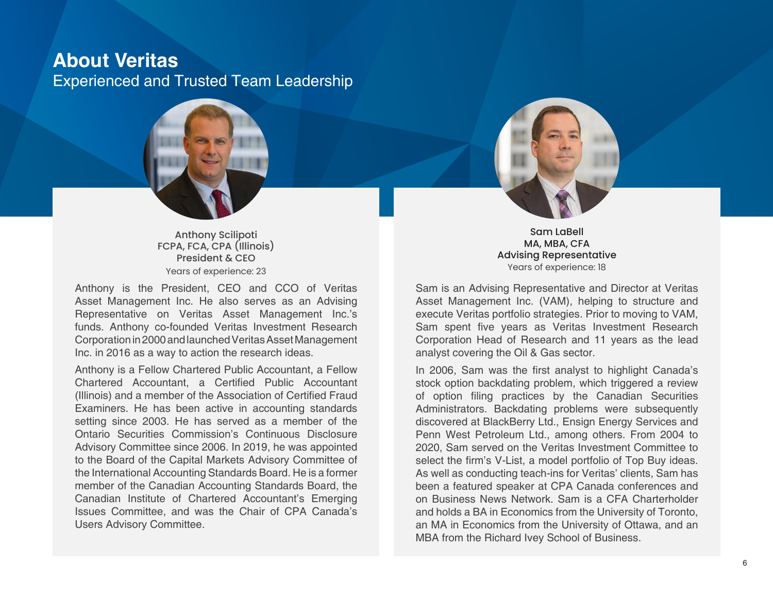## **About Veritas** Experienced and Trusted Team Leadership



Anthony Scilipoti FCPA, FCA, CPA (Illinois) President & CEO Years of experience: 23

Anthony is the President, CEO and CCO of Veritas Asset Management Inc. He also serves as an Advising Representative on Veritas Asset Management Inc.'s funds. Anthony co-founded Veritas Investment Research Corporation in 2000 and launched Veritas Asset Management Inc. in 2016 as a way to action the research ideas.

Anthony is a Fellow Chartered Public Accountant, a Fellow Chartered Accountant, a Certified Public Accountant (Illinois) and a member of the Association of Certified Fraud Examiners. He has been active in accounting standards setting since 2003. He has served as a member of the Ontario Securities Commission's Continuous Disclosure Advisory Committee since 2006. In 2019, he was appointed to the Board of the Capital Markets Advisory Committee of the International Accounting Standards Board. He is a former member of the Canadian Accounting Standards Board, the Canadian Institute of Chartered Accountant's Emerging Issues Committee, and was the Chair of CPA Canada's Users Advisory Committee.



Sam LaBell MA, MBA, CFA Advising Representative Years of experience: 18

Sam is an Advising Representative and Director at Veritas Asset Management Inc. (VAM), helping to structure and execute Veritas portfolio strategies. Prior to moving to VAM, Sam spent five years as Veritas Investment Research Corporation Head of Research and 11 years as the lead analyst covering the Oil & Gas sector.

In 2006, Sam was the first analyst to highlight Canada's stock option backdating problem, which triggered a review of option filing practices by the Canadian Securities Administrators. Backdating problems were subsequently discovered at BlackBerry Ltd., Ensign Energy Services and Penn West Petroleum Ltd., among others. From 2004 to 2020, Sam served on the Veritas Investment Committee to select the firm's V-List, a model portfolio of Top Buy ideas. As well as conducting teach-ins for Veritas' clients, Sam has been a featured speaker at CPA Canada conferences and on Business News Network. Sam is a CFA Charterholder and holds a BA in Economics from the University of Toronto, an MA in Economics from the University of Ottawa, and an MBA from the Richard Ivey School of Business.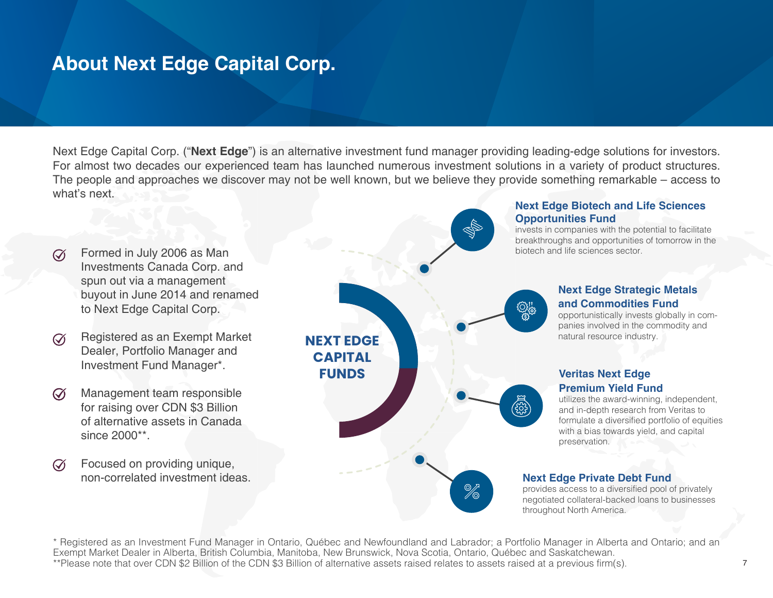## **About Next Edge Capital Corp.**

Next Edge Capital Corp. ("**Next Edge**") is an alternative investment fund manager providing leading-edge solutions for investors. For almost two decades our experienced team has launched numerous investment solutions in a variety of product structures. The people and approaches we discover may not be well known, but we believe they provide something remarkable – access to what's next. **Next Edge Biotech and Life Sciences** 



\* Registered as an Investment Fund Manager in Ontario, Québec and Newfoundland and Labrador; a Portfolio Manager in Alberta and Ontario; and an Exempt Market Dealer in Alberta, British Columbia, Manitoba, New Brunswick, Nova Scotia, Ontario, Québec and Saskatchewan. \*\*Please note that over CDN \$2 Billion of the CDN \$3 Billion of alternative assets raised relates to assets raised at a previous firm(s).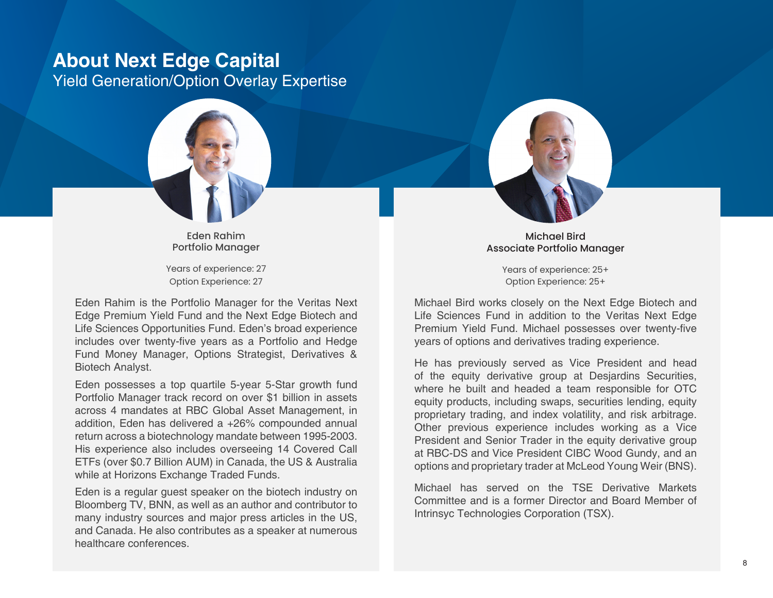# **About Next Edge Capital**

Yield Generation/Option Overlay Expertise



Eden Rahim Portfolio Manager

Years of experience: 27 Option Experience: 27

Eden Rahim is the Portfolio Manager for the Veritas Next Edge Premium Yield Fund and the Next Edge Biotech and Life Sciences Opportunities Fund. Eden's broad experience includes over twenty-five years as a Portfolio and Hedge Fund Money Manager, Options Strategist, Derivatives & Biotech Analyst.

Eden possesses a top quartile 5-year 5-Star growth fund Portfolio Manager track record on over \$1 billion in assets across 4 mandates at RBC Global Asset Management, in addition, Eden has delivered a +26% compounded annual return across a biotechnology mandate between 1995-2003. His experience also includes overseeing 14 Covered Call ETFs (over \$0.7 Billion AUM) in Canada, the US & Australia while at Horizons Exchange Traded Funds.

Eden is a regular guest speaker on the biotech industry on Bloomberg TV, BNN, as well as an author and contributor to many industry sources and major press articles in the US, and Canada. He also contributes as a speaker at numerous healthcare conferences.



Michael Bird Associate Portfolio Manager

> Years of experience: 25+ Option Experience: 25+

Michael Bird works closely on the Next Edge Biotech and Life Sciences Fund in addition to the Veritas Next Edge Premium Yield Fund. Michael possesses over twenty-five years of options and derivatives trading experience.

He has previously served as Vice President and head of the equity derivative group at Desjardins Securities, where he built and headed a team responsible for OTC equity products, including swaps, securities lending, equity proprietary trading, and index volatility, and risk arbitrage. Other previous experience includes working as a Vice President and Senior Trader in the equity derivative group at RBC-DS and Vice President CIBC Wood Gundy, and an options and proprietary trader at McLeod Young Weir (BNS).

Michael has served on the TSE Derivative Markets Committee and is a former Director and Board Member of Intrinsyc Technologies Corporation (TSX).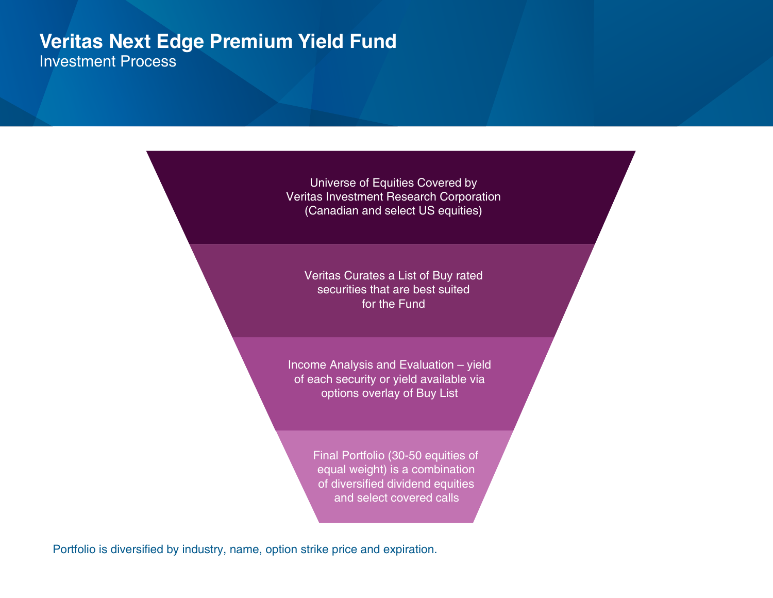## **Veritas Next Edge Premium Yield Fund** Investment Process

Universe of Equities Covered by Veritas Investment Research Corporation (Canadian and select US equities)

Veritas Curates a List of Buy rated securities that are best suited for the Fund

Income Analysis and Evaluation – yield of each security or yield available via options overlay of Buy List

> Final Portfolio (30-50 equities of equal weight) is a combination of diversified dividend equities and select covered calls

Portfolio is diversified by industry, name, option strike price and expiration.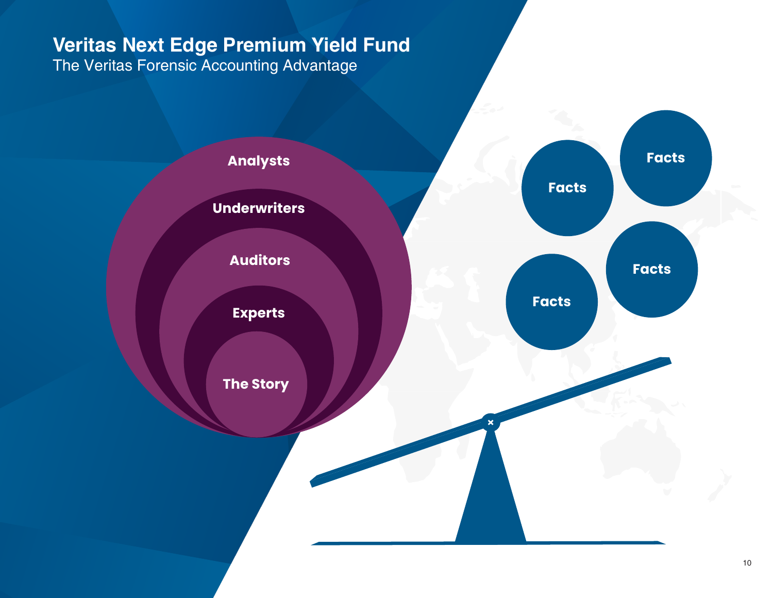The Veritas Forensic Accounting Advantage

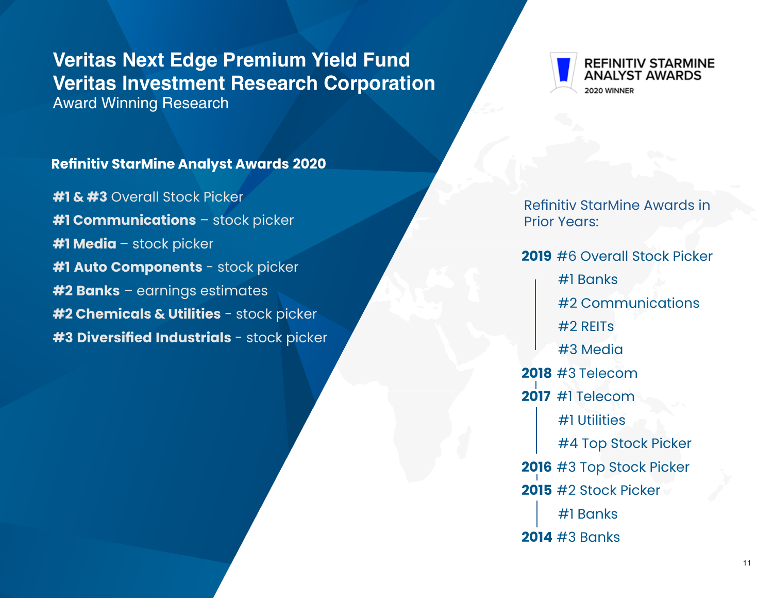# **Veritas Next Edge Premium Yield Fund Veritas Investment Research Corporation**

Award Winning Research

#### **REFINITIV STARMINE** ANALYST AWARDS 2020 WINNER

### **Refinitiv StarMine Analyst Awards 2020**

**#1 & #3** Overall Stock Picker **#1 Communications** – stock picker **#1 Media** – stock picker **#1 Auto Components** - stock picker **#2 Banks** – earnings estimates **#2 Chemicals & Utilities** - stock picker **#3 Diversified Industrials** - stock picker

Refinitiv StarMine Awards in Prior Years:

**2019** #6 Overall Stock Picker

#1 Banks

#2 Communications

#2 REITs

#3 Media

**2018** #3 Telecom

**2017** #1 Telecom

#1 Utilities

 #4 Top Stock Picker **2016** #3 Top Stock Picker **2015** #2 Stock Picker

 #1 Banks **2014** #3 Banks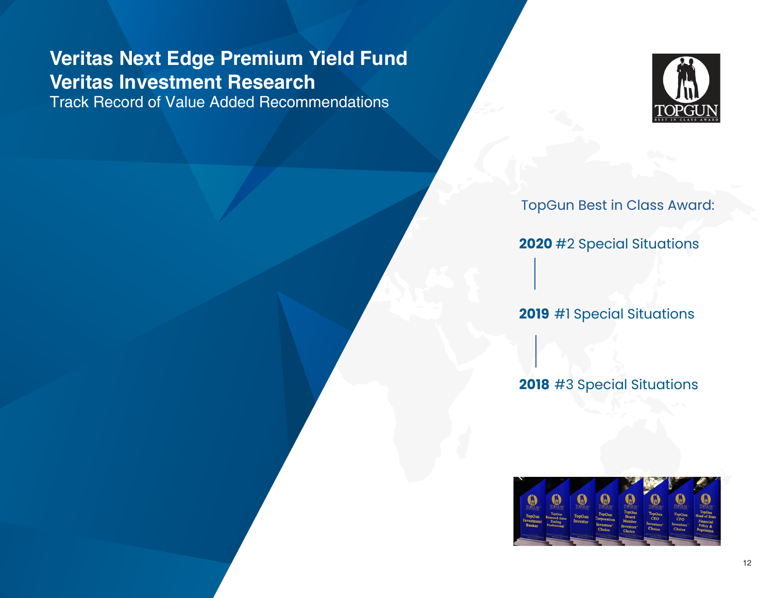# **Veritas Next Edge Premium Yield Fund Veritas Investment Research**

Track Record of Value Added Recommendations



TopGun Best in Class Award:

**2020** #2 Special Situations

**2019** #1 Special Situations

**2018** #3 Special Situations

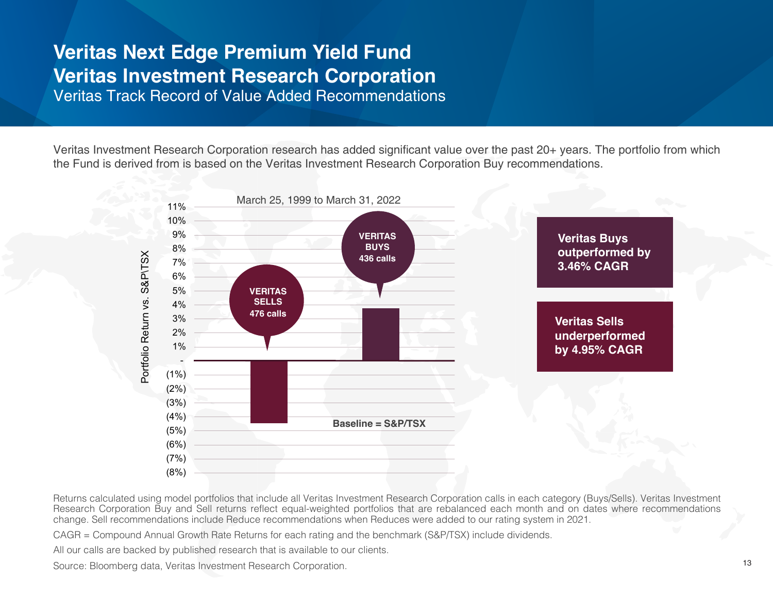## **Veritas Next Edge Premium Yield Fund Veritas Investment Research Corporation** Veritas Track Record of Value Added Recommendations

Veritas Investment Research Corporation research has added significant value over the past 20+ years. The portfolio from which the Fund is derived from is based on the Veritas Investment Research Corporation Buy recommendations.



Returns calculated using model portfolios that include all Veritas Investment Research Corporation calls in each category (Buys/Sells). Veritas Investment Research Corporation Buy and Sell returns reflect equal-weighted portfolios that are rebalanced each month and on dates where recommendations change. Sell recommendations include Reduce recommendations when Reduces were added to our rating system in 2021.

CAGR = Compound Annual Growth Rate Returns for each rating and the benchmark (S&P/TSX) include dividends.

All our calls are backed by published research that is available to our clients.

Source: Bloomberg data, Veritas Investment Research Corporation.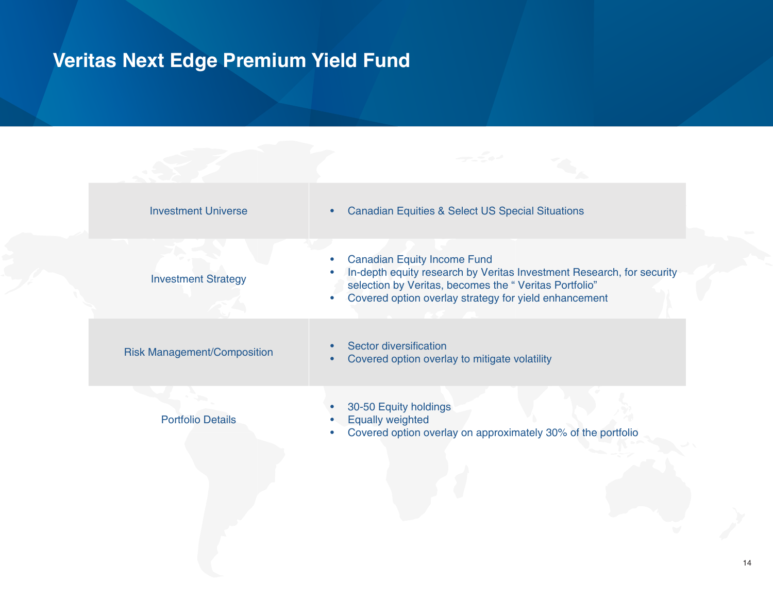| <b>Investment Universe</b>         | <b>Canadian Equities &amp; Select US Special Situations</b>                                                                                                                                                                   |
|------------------------------------|-------------------------------------------------------------------------------------------------------------------------------------------------------------------------------------------------------------------------------|
| <b>Investment Strategy</b>         | <b>Canadian Equity Income Fund</b><br>In-depth equity research by Veritas Investment Research, for security<br>selection by Veritas, becomes the "Veritas Portfolio"<br>Covered option overlay strategy for yield enhancement |
| <b>Risk Management/Composition</b> | Sector diversification<br>Covered option overlay to mitigate volatility                                                                                                                                                       |
| <b>Portfolio Details</b>           | 30-50 Equity holdings<br><b>Equally weighted</b><br>Covered option overlay on approximately 30% of the portfolio                                                                                                              |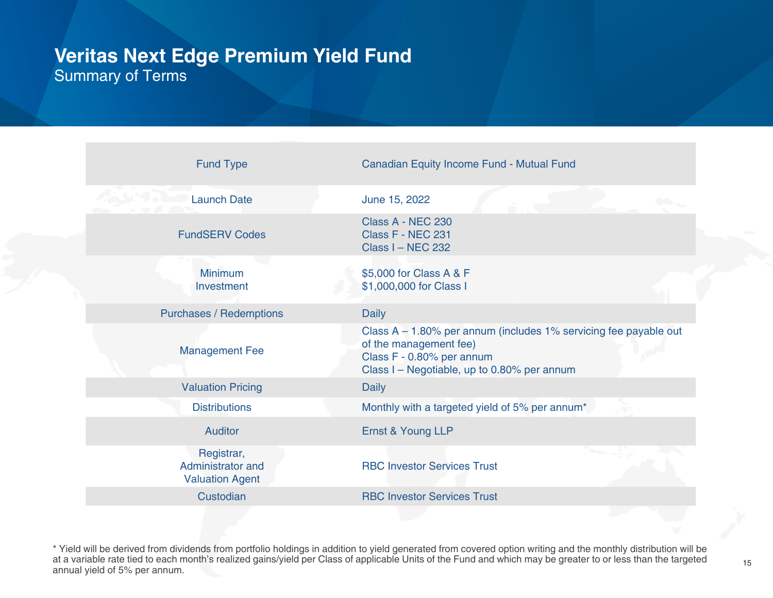## **Veritas Next Edge Premium Yield Fund** Summary of Terms

| <b>Fund Type</b>                                          | Canadian Equity Income Fund - Mutual Fund                                                                                                                              |
|-----------------------------------------------------------|------------------------------------------------------------------------------------------------------------------------------------------------------------------------|
|                                                           |                                                                                                                                                                        |
| <b>Launch Date</b>                                        | June 15, 2022                                                                                                                                                          |
| <b>FundSERV Codes</b>                                     | Class A - NEC 230<br>Class F - NEC 231<br><b>Class I - NEC 232</b>                                                                                                     |
| <b>Minimum</b><br>Investment                              | \$5,000 for Class A & F<br>\$1,000,000 for Class I                                                                                                                     |
| <b>Purchases / Redemptions</b>                            | <b>Daily</b>                                                                                                                                                           |
| <b>Management Fee</b>                                     | Class A - 1.80% per annum (includes 1% servicing fee payable out<br>of the management fee)<br>Class F - 0.80% per annum<br>Class I – Negotiable, up to 0.80% per annum |
| <b>Valuation Pricing</b>                                  | <b>Daily</b>                                                                                                                                                           |
| <b>Distributions</b>                                      | Monthly with a targeted yield of 5% per annum*                                                                                                                         |
| <b>Auditor</b>                                            | Ernst & Young LLP                                                                                                                                                      |
| Registrar,<br>Administrator and<br><b>Valuation Agent</b> | <b>RBC Investor Services Trust</b>                                                                                                                                     |
| Custodian                                                 | <b>RBC Investor Services Trust</b>                                                                                                                                     |
|                                                           |                                                                                                                                                                        |

\* Yield will be derived from dividends from portfolio holdings in addition to yield generated from covered option writing and the monthly distribution will be at a variable rate tied to each month's realized gains/yield per Class of applicable Units of the Fund and which may be greater to or less than the targeted annual yield of 5% per annum.